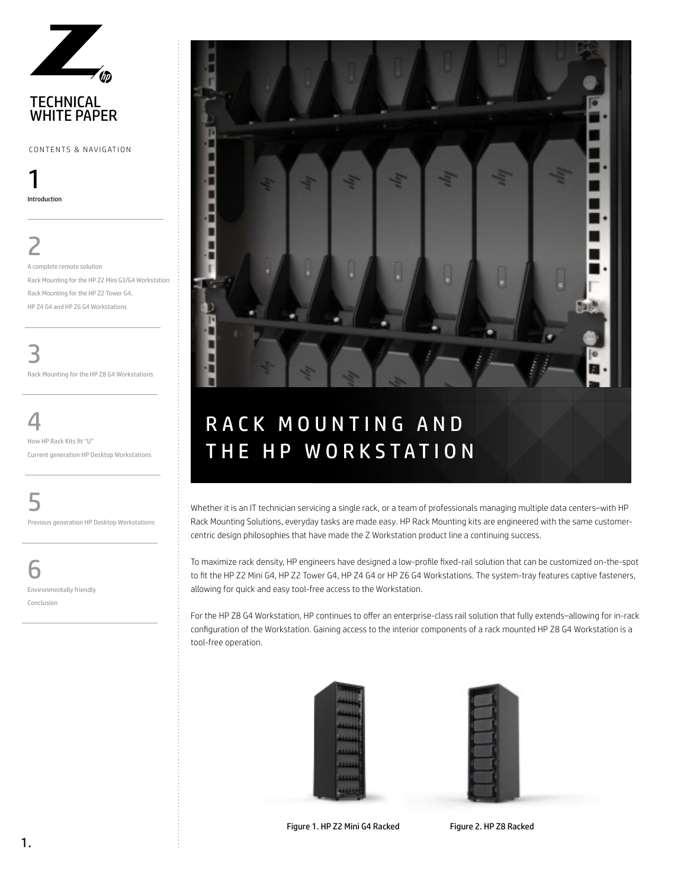

CONTENTS & NAVIGATION

1 Introduction

# 2

A complete remote solution Rack Mounting for the HP Z2 Mini G3/G4 Workstation Rack Mounting for the HP Z2 Tower G4, HP Z4 G4 and HP Z6 G4 Workstations

3 Rack Mounting for the HP Z8 G4 Workstations

4

How HP Rack Kits fit "U" Current generation HP Desktop Workstations

5 Previous generation HP Desktop Workstations

6 Environmentally friendly Conclusion



Whether it is an IT technician servicing a single rack, or a team of professionals managing multiple data centers–with HP Rack Mounting Solutions, everyday tasks are made easy. HP Rack Mounting kits are engineered with the same customercentric design philosophies that have made the Z Workstation product line a continuing success.

To maximize rack density, HP engineers have designed a low-profile fixed-rail solution that can be customized on-the-spot to fit the HP Z2 Mini G4, HP Z2 Tower G4, HP Z4 G4 or HP Z6 G4 Workstations. The system-tray features captive fasteners, allowing for quick and easy tool-free access to the Workstation.

For the HP Z8 G4 Workstation, HP continues to offer an enterprise-class rail solution that fully extends–allowing for in-rack configuration of the Workstation. Gaining access to the interior components of a rack mounted HP Z8 G4 Workstation is a tool-free operation.





Figure 1. HP Z2 Mini G4 Racked Figure 2. HP Z8 Racked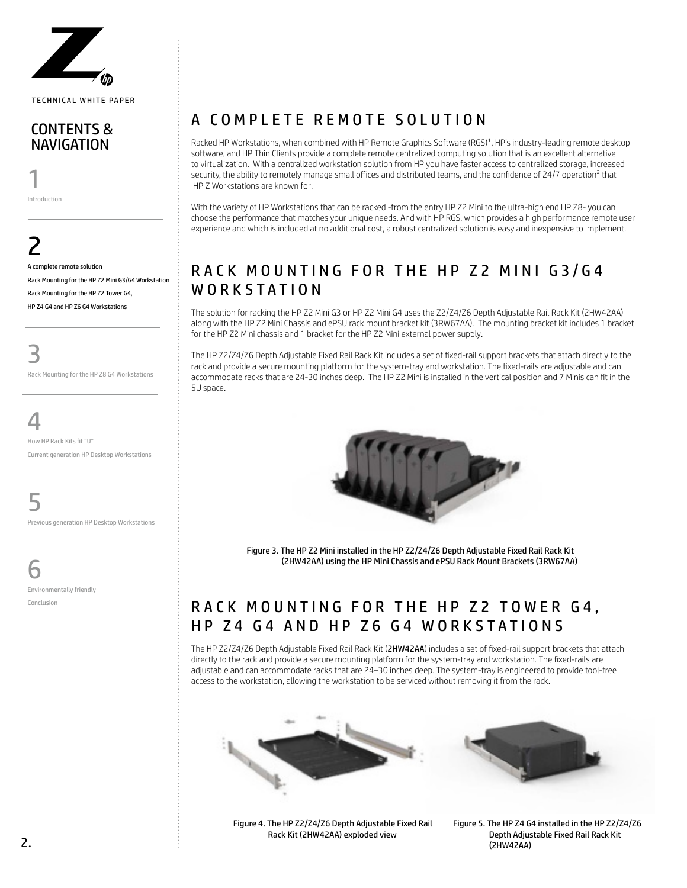

#### CONTENTS & NAVIGATION

1 Introduction

2 A complete remote solution Rack Mounting for the HP Z2 Mini G3/G4 Workstation Rack Mounting for the HP Z2 Tower G4, HP Z4 G4 and HP Z6 G4 Workstations

3 Rack Mounting for the HP Z8 G4 Workstations

4

How HP Rack Kits fit "U" Current generation HP Desktop Workstations

5

Previous generation HP Desktop Workstations

6

Environmentally friendly Conclusion

## A COMPLETE REMOTE SOLUTION

Racked HP Workstations, when combined with HP Remote Graphics Software (RGS)1, HP's industry-leading remote desktop software, and HP Thin Clients provide a complete remote centralized computing solution that is an excellent alternative to virtualization. With a centralized workstation solution from HP you have faster access to centralized storage, increased security, the ability to remotely manage small offices and distributed teams, and the confidence of 24/7 operation<sup>2</sup> that HP Z Workstations are known for.

With the variety of HP Workstations that can be racked -from the entry HP Z2 Mini to the ultra-high end HP Z8- you can choose the performance that matches your unique needs. And with HP RGS, which provides a high performance remote user experience and which is included at no additional cost, a robust centralized solution is easy and inexpensive to implement.

### RACK MOUNTING FOR THE HP Z2 MINI G3/G4 WORKSTATION

The solution for racking the HP Z2 Mini G3 or HP Z2 Mini G4 uses the Z2/Z4/Z6 Depth Adjustable Rail Rack Kit (2HW42AA) along with the HP Z2 Mini Chassis and ePSU rack mount bracket kit (3RW67AA). The mounting bracket kit includes 1 bracket for the HP Z2 Mini chassis and 1 bracket for the HP Z2 Mini external power supply.

The HP Z2/Z4/Z6 Depth Adjustable Fixed Rail Rack Kit includes a set of fixed-rail support brackets that attach directly to the rack and provide a secure mounting platform for the system-tray and workstation. The fixed-rails are adjustable and can accommodate racks that are 24-30 inches deep. The HP Z2 Mini is installed in the vertical position and 7 Minis can fit in the 5U space.



Figure 3. The HP Z2 Mini installed in the HP Z2/Z4/Z6 Depth Adjustable Fixed Rail Rack Kit (2HW42AA) using the HP Mini Chassis and ePSU Rack Mount Brackets (3RW67AA)

### RACK MOUNTING FOR THE HP Z2 TOWER G4. HP Z4 G4 AND HP Z6 G4 WORKSTATIONS

The HP Z2/Z4/Z6 Depth Adjustable Fixed Rail Rack Kit (2HW42AA) includes a set of fixed-rail support brackets that attach directly to the rack and provide a secure mounting platform for the system-tray and workstation. The fixed-rails are adjustable and can accommodate racks that are 24–30 inches deep. The system-tray is engineered to provide tool-free access to the workstation, allowing the workstation to be serviced without removing it from the rack.





Figure 4. The HP Z2/Z4/Z6 Depth Adjustable Fixed Rail Rack Kit (2HW42AA) exploded view

Figure 5. The HP Z4 G4 installed in the HP Z2/Z4/Z6 Depth Adjustable Fixed Rail Rack Kit (2HW42AA)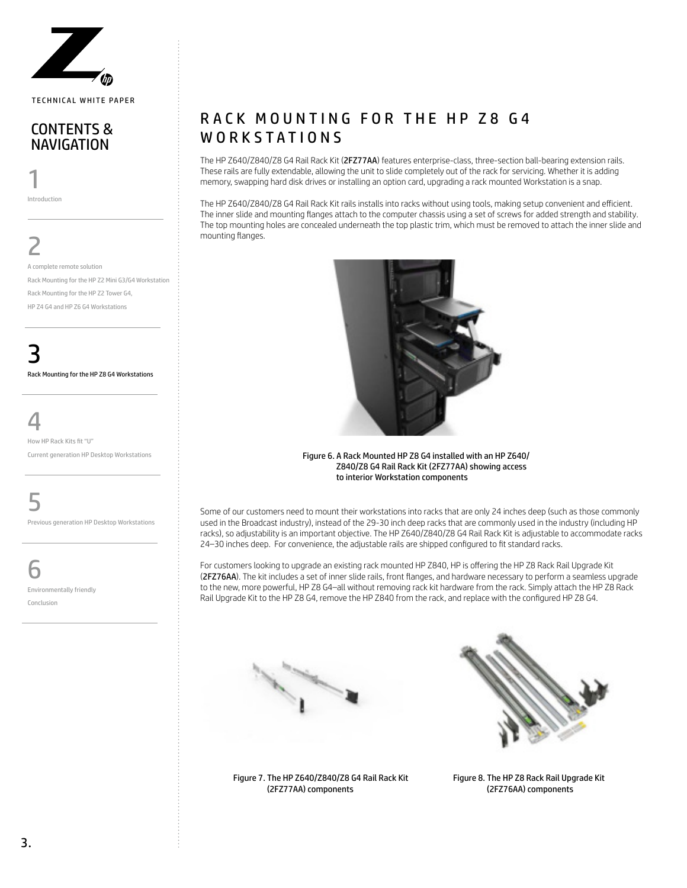

#### CONTENTS & NAVIGATION

1 Introduction

2 A complete remote solution Rack Mounting for the HP Z2 Mini G3/G4 Workstation Rack Mounting for the HP Z2 Tower G4, HP Z4 G4 and HP Z6 G4 Workstations

3 Rack Mounting for the HP Z8 G4 Workstations

4

How HP Rack Kits fit "U" Current generation HP Desktop Workstations

5

Previous generation HP Desktop Workstations

6

Environmentally friendly Conclusion

### RACK MOUNTING FOR THE HP Z8 G4 WORKSTATIONS

The HP Z640/Z840/Z8 G4 Rail Rack Kit (2FZ77AA) features enterprise-class, three-section ball-bearing extension rails. These rails are fully extendable, allowing the unit to slide completely out of the rack for servicing. Whether it is adding memory, swapping hard disk drives or installing an option card, upgrading a rack mounted Workstation is a snap.

The HP Z640/Z840/Z8 G4 Rail Rack Kit rails installs into racks without using tools, making setup convenient and efficient. The inner slide and mounting flanges attach to the computer chassis using a set of screws for added strength and stability. The top mounting holes are concealed underneath the top plastic trim, which must be removed to attach the inner slide and mounting flanges.



Figure 6. A Rack Mounted HP Z8 G4 installed with an HP Z640/ Z840/Z8 G4 Rail Rack Kit (2FZ77AA) showing access to interior Workstation components

Some of our customers need to mount their workstations into racks that are only 24 inches deep (such as those commonly used in the Broadcast industry), instead of the 29-30 inch deep racks that are commonly used in the industry (including HP racks), so adjustability is an important objective. The HP Z640/Z840/Z8 G4 Rail Rack Kit is adjustable to accommodate racks 24–30 inches deep. For convenience, the adjustable rails are shipped configured to fit standard racks.

For customers looking to upgrade an existing rack mounted HP Z840, HP is offering the HP Z8 Rack Rail Upgrade Kit (2FZ76AA). The kit includes a set of inner slide rails, front flanges, and hardware necessary to perform a seamless upgrade to the new, more powerful, HP Z8 G4–all without removing rack kit hardware from the rack. Simply attach the HP Z8 Rack Rail Upgrade Kit to the HP Z8 G4, remove the HP Z840 from the rack, and replace with the configured HP Z8 G4.





Figure 7. The HP Z640/Z840/Z8 G4 Rail Rack Kit (2FZ77AA) components

Figure 8. The HP Z8 Rack Rail Upgrade Kit (2FZ76AA) components

3.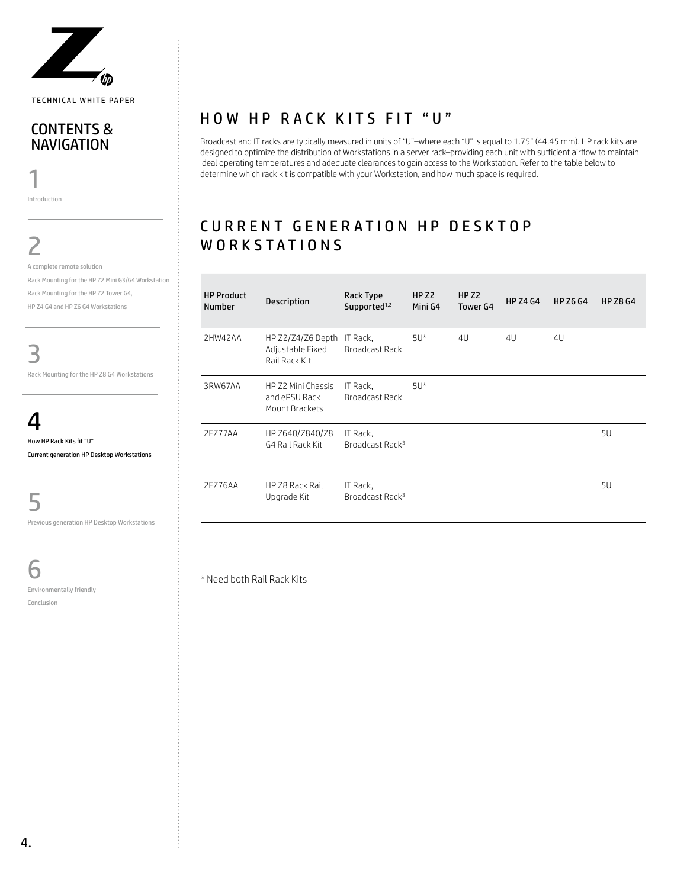

#### CONTENTS & NAVIGATION

1 Introduction

2

A complete remote solution Rack Mounting for the HP Z2 Mini G3/G4 Workstation Rack Mounting for the HP Z2 Tower G4, HP Z4 G4 and HP Z6 G4 Workstations

3

Rack Mounting for the HP Z8 G4 Workstations

4 How HP Rack Kits fit "U"

Current generation HP Desktop Workstations

5

Previous generation HP Desktop Workstations

6

Environmentally friendly

Conclusion

#### HOW HP RACK KITS FIT "U"

Broadcast and IT racks are typically measured in units of "U"–where each "U" is equal to 1.75" (44.45 mm). HP rack kits are designed to optimize the distribution of Workstations in a server rack–providing each unit with sufficient airflow to maintain ideal operating temperatures and adequate clearances to gain access to the Workstation. Refer to the table below to determine which rack kit is compatible with your Workstation, and how much space is required.

### CURRENT GENERATION HP DESKTOP WORKSTATIONS

| <b>HP Product</b><br><b>Number</b> | <b>Description</b>                                              | Rack Type<br>Supported <sup>1,2</sup>   | HP <sub>Z2</sub><br>Mini G4 | HP <sub>Z2</sub><br>Tower G4 | <b>HP Z4 G4</b> | <b>HP Z6 G4</b> | <b>HP Z8 G4</b> |
|------------------------------------|-----------------------------------------------------------------|-----------------------------------------|-----------------------------|------------------------------|-----------------|-----------------|-----------------|
| 2HW42AA                            | HP Z2/Z4/Z6 Depth IT Rack,<br>Adjustable Fixed<br>Rail Rack Kit | Broadcast Rack                          | $5U^*$                      | 4U                           | 4U              | 4U              |                 |
| 3RW67AA                            | HP Z2 Mini Chassis<br>and ePSU Rack<br>Mount Brackets           | IT Rack.<br>Broadcast Rack              | $5U^*$                      |                              |                 |                 |                 |
| 2F777AA                            | HP Z640/Z840/Z8<br>G4 Rail Rack Kit                             | IT Rack.<br>Broadcast Rack <sup>3</sup> |                             |                              |                 |                 | 5U              |
| 2FZ76AA                            | HP Z8 Rack Rail<br>Upgrade Kit                                  | IT Rack.<br>Broadcast Rack <sup>3</sup> |                             |                              |                 |                 | 5U              |

\* Need both Rail Rack Kits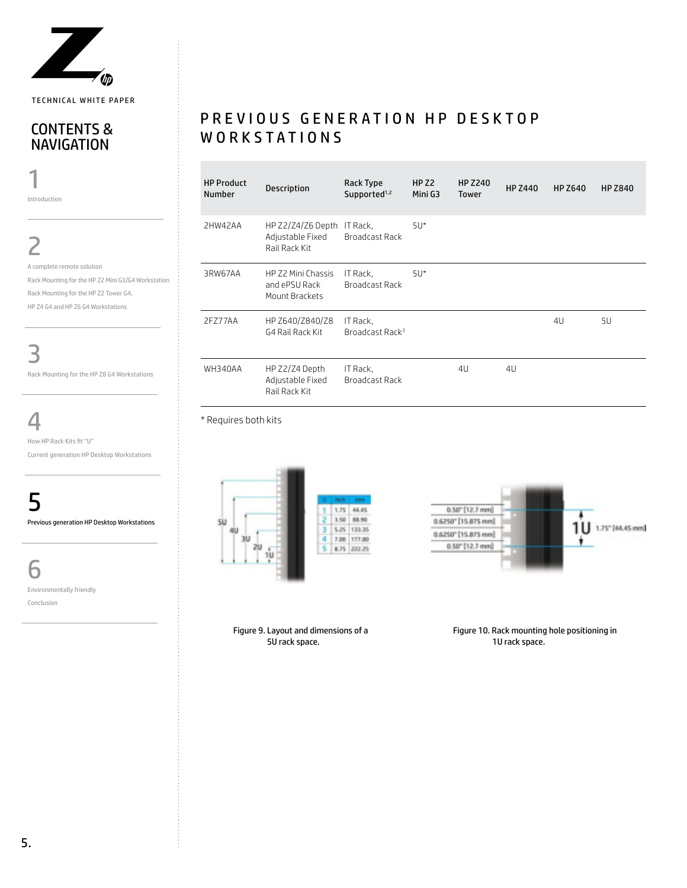

#### CONTENTS & **NAVIGATION**

1 Introduction

2 A complete remote solution Rack Mounting for the HP Z2 Mini G3/G4 Workstation Rack Mounting for the HP Z2 Tower G4, HP Z4 G4 and HP Z6 G4 Workstations

3 Rack Mounting for the HP Z8 G4 Workstations

4

How HP Rack Kits fit "U" Current generation HP Desktop Workstations

5 Previous generation HP Desktop Workstations

6

Environmentally friendly

Conclusion

### P R E V I O U S G E N E R A T I O N H P D E S K T O P WORKSTATIONS

| <b>HP Product</b><br><b>Number</b> | <b>Description</b>                                     | Rack Type<br>Supported <sup>1,2</sup>   | HP <sub>Z2</sub><br>Mini G3 | <b>HP Z240</b><br><b>Tower</b> | <b>HP Z440</b> | <b>HP Z640</b> | <b>HP Z840</b> |
|------------------------------------|--------------------------------------------------------|-----------------------------------------|-----------------------------|--------------------------------|----------------|----------------|----------------|
| 2HW42AA                            | HP Z2/Z4/Z6 Depth<br>Adjustable Fixed<br>Rail Rack Kit | IT Rack.<br>Broadcast Rack              | $5U^*$                      |                                |                |                |                |
| 3RW67AA                            | HP Z2 Mini Chassis<br>and ePSU Rack<br>Mount Brackets  | IT Rack.<br>Broadcast Rack              | $5U^*$                      |                                |                |                |                |
| 2FZ77AA                            | HP Z640/Z840/Z8<br>G4 Rail Rack Kit                    | IT Rack.<br>Broadcast Rack <sup>3</sup> |                             |                                |                | 4U             | 5U             |
| WH340AA                            | HP Z2/Z4 Depth<br>Adjustable Fixed<br>Rail Rack Kit    | IT Rack.<br>Broadcast Rack              |                             | 41                             | 4 <sub>U</sub> |                |                |

\* Requires both kits





Figure 9. Layout and dimensions of a 5U rack space.

Figure 10. Rack mounting hole positioning in 1U rack space.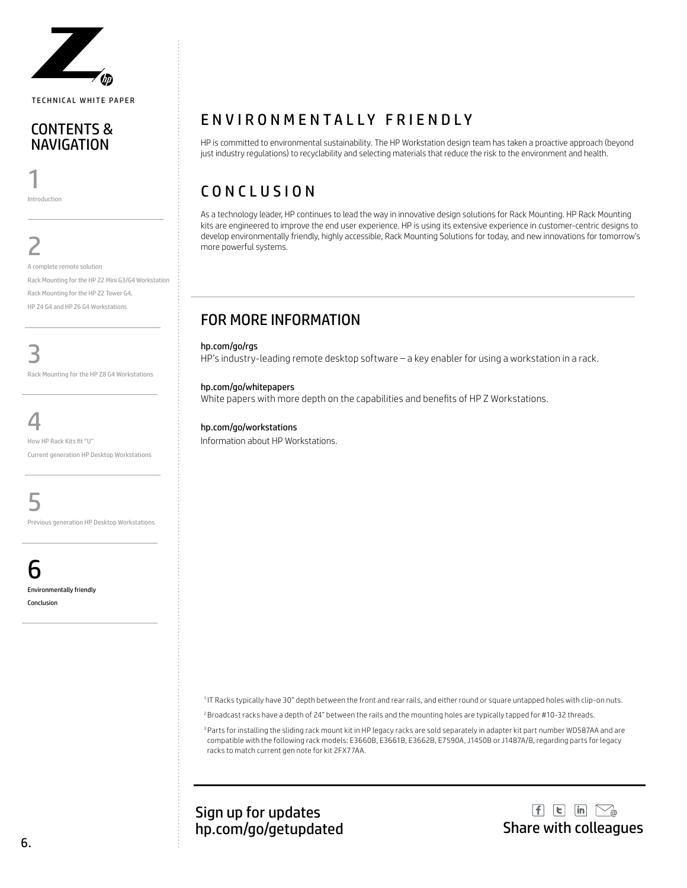

#### CONTENTS & NAVIGATION

1 Introduction

2

A complete remote solution Rack Mounting for the HP Z2 Mini G3/G4 Workstation Rack Mounting for the HP Z2 Tower G4, HP Z4 G4 and HP Z6 G4 Workstations

3

Rack Mounting for the HP Z8 G4 Workstations

4

How HP Rack Kits fit "U" Current generation HP Desktop Workstations

5

Previous generation HP Desktop Workstations

h Environmentally friendly

Conclusion

### ENVIRONMENTALLY FRIENDLY

HP is committed to environmental sustainability. The HP Workstation design team has taken a proactive approach (beyond just industry regulations) to recyclability and selecting materials that reduce the risk to the environment and health.

# CONCLUSION

As a technology leader, HP continues to lead the way in innovative design solutions for Rack Mounting. HP Rack Mounting kits are engineered to improve the end user experience. HP is using its extensive experience in customer-centric designs to develop environmentally friendly, highly accessible, Rack Mounting Solutions for today, and new innovations for tomorrow's more powerful systems.

### FOR MORE INFORMATION

hp.com/go/rgs

HP's industry-leading remote desktop software – a key enabler for using a workstation in a rack.

#### hp.com/go/whitepapers

White papers with more depth on the capabilities and benefits of HP Z Workstations.

#### hp.com/go/workstations

Information about HP Workstations.

<sup>1</sup>IT Racks typically have 30" depth between the front and rear rails, and either round or square untapped holes with clip-on nuts.

<sup>2</sup> Broadcast racks have a depth of 24" between the rails and the mounting holes are typically tapped for #10-32 threads.

<sup>3</sup> Parts for installing the sliding rack mount kit in HP legacy racks are sold separately in adapter kit part number WD587AA and are compatible with the following rack models: E3660B, E3661B, E3662B, E7590A, J1450B or J1487A/B, regarding parts for legacy racks to match current gen note for kit 2FX77AA.

Sign up for updates hp.com/go/getupdated Share with colleagues